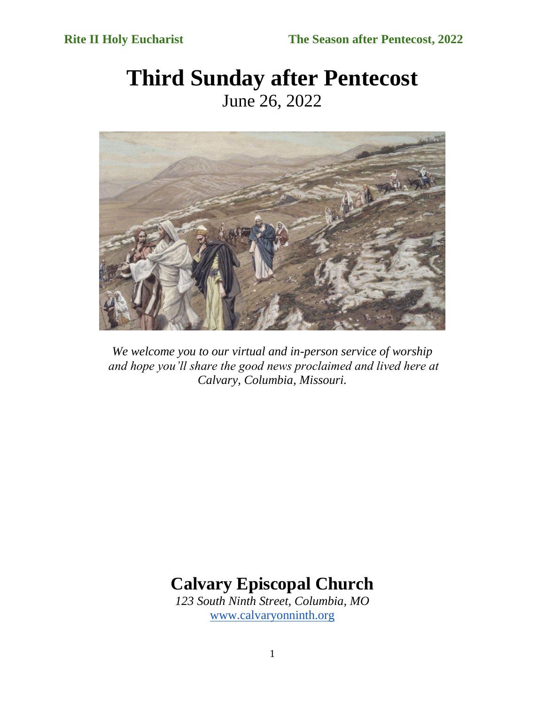# **Third Sunday after Pentecost** June 26, 2022



*We welcome you to our virtual and in-person service of worship and hope you'll share the good news proclaimed and lived here at Calvary, Columbia, Missouri.*

# **Calvary Episcopal Church**

*123 South Ninth Street, Columbia, MO* [www.calvaryonninth.org](http://www.calvaryonninth.org/)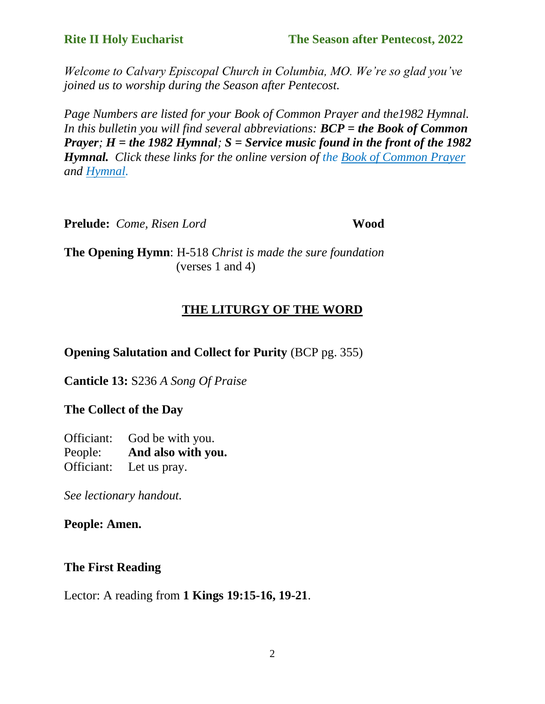*Welcome to Calvary Episcopal Church in Columbia, MO. We're so glad you've joined us to worship during the Season after Pentecost.* 

*Page Numbers are listed for your Book of Common Prayer and the1982 Hymnal. In this bulletin you will find several abbreviations: BCP = the Book of Common Prayer; H = the 1982 Hymnal; S = Service music found in the front of the 1982 Hymnal. Click these links for the online version of the [Book of Common Prayer](https://www.bcponline.org/) and [Hymnal.](https://hymnary.org/)*

**Prelude:** *Come, Risen Lord* **Wood**

**The Opening Hymn**: H-518 *Christ is made the sure foundation*  $(verses 1 and 4)$ 

## **THE LITURGY OF THE WORD**

**Opening Salutation and Collect for Purity** (BCP pg. 355)

**Canticle 13:** S236 *A Song Of Praise*

## **The Collect of the Day**

Officiant: God be with you. People: **And also with you.** Officiant: Let us pray.

*See lectionary handout.* 

**People: Amen.**

### **The First Reading**

Lector: A reading from **1 Kings 19:15-16, 19-21**.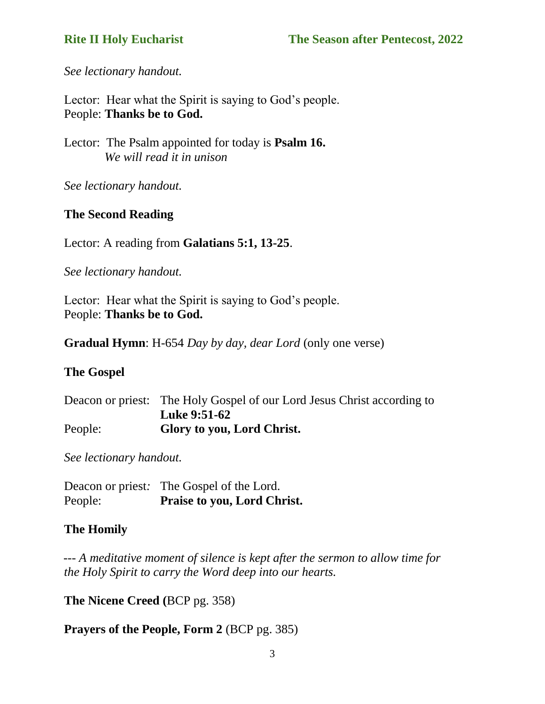*See lectionary handout.* 

Lector: Hear what the Spirit is saying to God's people. People: **Thanks be to God.**

Lector: The Psalm appointed for today is **Psalm 16.**  *We will read it in unison*

*See lectionary handout.* 

#### **The Second Reading**

Lector: A reading from **Galatians 5:1, 13-25**.

*See lectionary handout.* 

Lector: Hear what the Spirit is saying to God's people. People: **Thanks be to God.**

**Gradual Hymn**: H-654 *Day by day, dear Lord* (only one verse)

#### **The Gospel**

|         | Deacon or priest: The Holy Gospel of our Lord Jesus Christ according to |
|---------|-------------------------------------------------------------------------|
|         | <b>Luke 9:51-62</b>                                                     |
| People: | Glory to you, Lord Christ.                                              |

*See lectionary handout.* 

Deacon or priest*:* The Gospel of the Lord. People: **Praise to you, Lord Christ.**

#### **The Homily**

 *--- A meditative moment of silence is kept after the sermon to allow time for the Holy Spirit to carry the Word deep into our hearts.*

**The Nicene Creed (**BCP pg. 358)

**Prayers of the People, Form 2** (BCP pg. 385)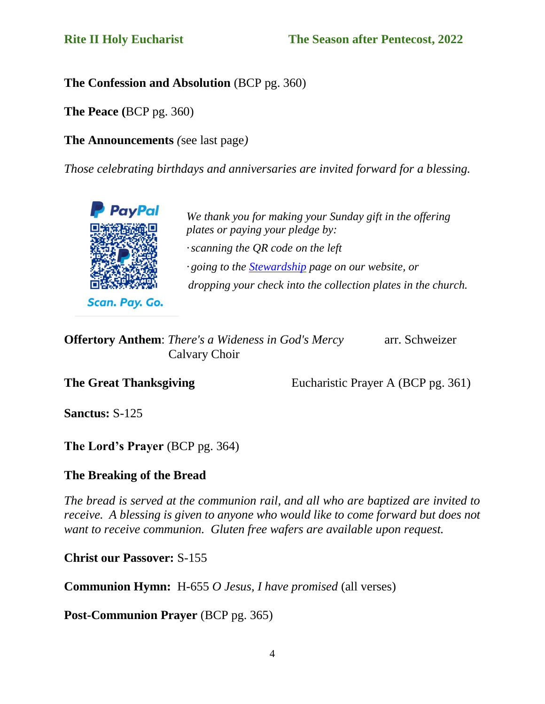#### **The Confession and Absolution** (BCP pg. 360)

**The Peace (**BCP pg. 360)

**The Announcements** *(*see last page*)*

*Those celebrating birthdays and anniversaries are invited forward for a blessing.*



Scan. Pay. Go.

*We thank you for making your Sunday gift in the offering plates or paying your pledge by: ·scanning the QR code on the left · going to th[e](https://www.calvaryonninth.org/stewardship.html) [Stewardship](https://www.calvaryonninth.org/stewardship.html) page on our website, or dropping your check into the collection plates in the church.*

| <b>Offertory Anthem:</b> There's a Wideness in God's Mercy | arr. Schweizer |
|------------------------------------------------------------|----------------|
| Calvary Choir                                              |                |

**The Great Thanksgiving** Eucharistic Prayer A (BCP pg. 361)

**Sanctus:** S-125

**The Lord's Prayer** (BCP pg. 364)

### **The Breaking of the Bread**

*The bread is served at the communion rail, and all who are baptized are invited to receive.* A blessing is given to anyone who would like to come forward but does not *want to receive communion. Gluten free wafers are available upon request.*

**Christ our Passover:** S-155

**Communion Hymn:** H-655 *O Jesus, I have promised* (all verses)

Post-Communion Prayer *(BCP pg. 365)*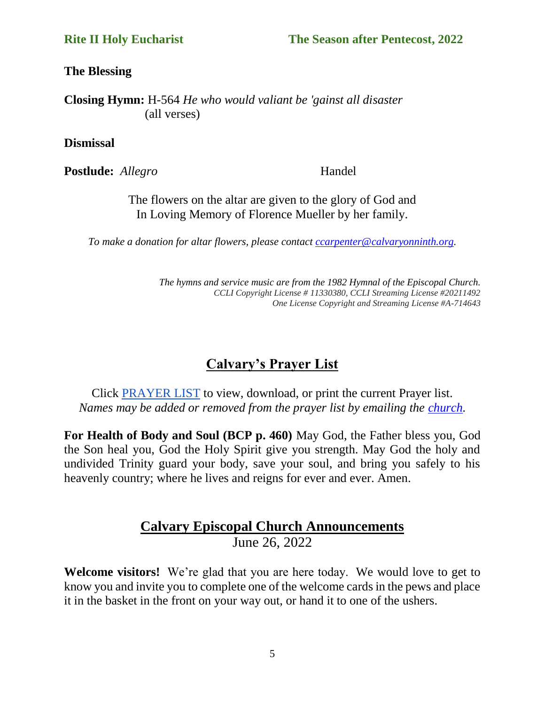**The Blessing**

**Closing Hymn:** H-564 *He who would valiant be 'gainst all disaster* (all verses)

**Dismissal**

**Postlude:** *Allegro* Handel

The flowers on the altar are given to the glory of God and In Loving Memory of Florence Mueller by her family.

*To make a donation for altar flowers, please contact [ccarpenter@calvaryonninth.org.](about:blank)*

*The hymns and service music are from the 1982 Hymnal of the Episcopal Church. CCLI Copyright License # 11330380, CCLI Streaming License #20211492 One License Copyright and Streaming License #A-714643*

# **Calvary's Prayer List**

Click [PRAYER LIST](https://drive.google.com/file/d/1OzF3G-MIq141273XXDTH17B_GJtNmiT1/view?usp=sharing) to view, download, or print the current Prayer list. *Names may be added or removed from the prayer list by emailing the [church.](mailto:ccarpenter@calvaryonninth.org)*

**For Health of Body and Soul (BCP p. 460)** May God, the Father bless you, God the Son heal you, God the Holy Spirit give you strength. May God the holy and undivided Trinity guard your body, save your soul, and bring you safely to his heavenly country; where he lives and reigns for ever and ever. Amen.

### **Calvary Episcopal Church Announcements** June 26, 2022

**Welcome visitors!** We're glad that you are here today. We would love to get to know you and invite you to complete one of the welcome cards in the pews and place it in the basket in the front on your way out, or hand it to one of the ushers.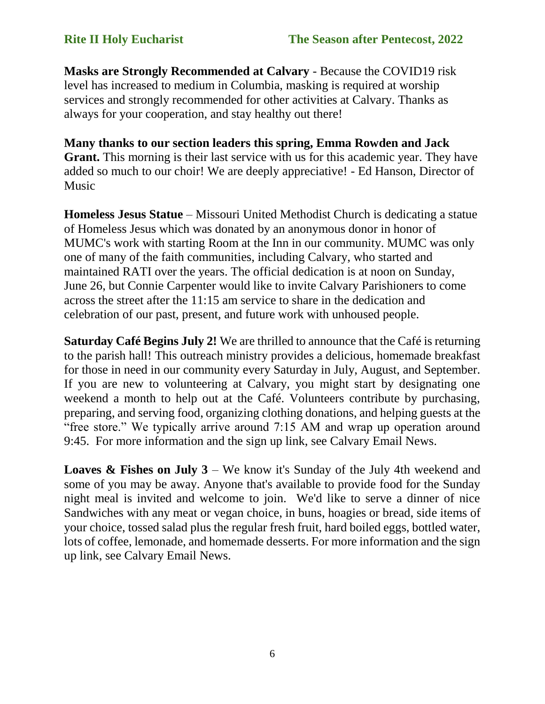**Masks are Strongly Recommended at Calvary** - Because the COVID19 risk level has increased to medium in Columbia, masking is required at worship services and strongly recommended for other activities at Calvary. Thanks as always for your cooperation, and stay healthy out there!

**Many thanks to our section leaders this spring, Emma Rowden and Jack**  Grant. This morning is their last service with us for this academic year. They have added so much to our choir! We are deeply appreciative! - Ed Hanson, Director of Music

**Homeless Jesus Statue** – Missouri United Methodist Church is dedicating a statue of Homeless Jesus which was donated by an anonymous donor in honor of MUMC's work with starting Room at the Inn in our community. MUMC was only one of many of the faith communities, including Calvary, who started and maintained RATI over the years. The official dedication is at noon on Sunday, June 26, but Connie Carpenter would like to invite Calvary Parishioners to come across the street after the 11:15 am service to share in the dedication and celebration of our past, present, and future work with unhoused people.

**Saturday Café Begins July 2!** We are thrilled to announce that the Café is returning to the parish hall! This outreach ministry provides a delicious, homemade breakfast for those in need in our community every Saturday in July, August, and September. If you are new to volunteering at Calvary, you might start by designating one weekend a month to help out at the Café. Volunteers contribute by purchasing, preparing, and serving food, organizing clothing donations, and helping guests at the "free store." We typically arrive around 7:15 AM and wrap up operation around 9:45. For more information and the sign up link, see Calvary Email News.

**Loaves & Fishes on July 3** – We know it's Sunday of the July 4th weekend and some of you may be away. Anyone that's available to provide food for the Sunday night meal is invited and welcome to join. We'd like to serve a dinner of nice Sandwiches with any meat or vegan choice, in buns, hoagies or bread, side items of your choice, tossed salad plus the regular fresh fruit, hard boiled eggs, bottled water, lots of coffee, lemonade, and homemade desserts. For more information and the sign up link, see Calvary Email News.